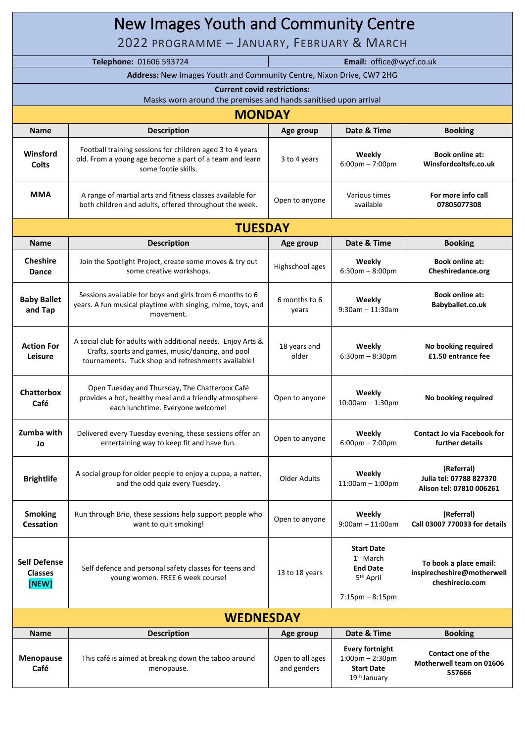| New Images Youth and Community Centre<br>2022 PROGRAMME - JANUARY, FEBRUARY & MARCH |                                                                                                                                                                         |                                 |                                                                                                  |                                                                         |
|-------------------------------------------------------------------------------------|-------------------------------------------------------------------------------------------------------------------------------------------------------------------------|---------------------------------|--------------------------------------------------------------------------------------------------|-------------------------------------------------------------------------|
|                                                                                     | Telephone: 01606 593724<br>Email: office@wycf.co.uk                                                                                                                     |                                 |                                                                                                  |                                                                         |
|                                                                                     | Address: New Images Youth and Community Centre, Nixon Drive, CW7 2HG                                                                                                    |                                 |                                                                                                  |                                                                         |
|                                                                                     | <b>Current covid restrictions:</b>                                                                                                                                      |                                 |                                                                                                  |                                                                         |
|                                                                                     | Masks worn around the premises and hands sanitised upon arrival                                                                                                         |                                 |                                                                                                  |                                                                         |
|                                                                                     | <b>MONDAY</b>                                                                                                                                                           |                                 |                                                                                                  |                                                                         |
| <b>Name</b>                                                                         | <b>Description</b>                                                                                                                                                      | Age group                       | Date & Time                                                                                      | <b>Booking</b>                                                          |
| Winsford<br><b>Colts</b>                                                            | Football training sessions for children aged 3 to 4 years<br>old. From a young age become a part of a team and learn<br>some footie skills.                             | 3 to 4 years                    | Weekly<br>$6:00$ pm $-7:00$ pm                                                                   | <b>Book online at:</b><br>Winsfordcoltsfc.co.uk                         |
| <b>MMA</b>                                                                          | A range of martial arts and fitness classes available for<br>both children and adults, offered throughout the week.                                                     | Open to anyone                  | Various times<br>available                                                                       | For more info call<br>07805077308                                       |
|                                                                                     | <b>TUESDAY</b>                                                                                                                                                          |                                 |                                                                                                  |                                                                         |
| <b>Name</b>                                                                         | <b>Description</b>                                                                                                                                                      | Age group                       | Date & Time                                                                                      | <b>Booking</b>                                                          |
| <b>Cheshire</b><br><b>Dance</b>                                                     | Join the Spotlight Project, create some moves & try out<br>some creative workshops.                                                                                     | Highschool ages                 | Weekly<br>$6:30$ pm $-8:00$ pm                                                                   | <b>Book online at:</b><br>Cheshiredance.org                             |
| <b>Baby Ballet</b><br>and Tap                                                       | Sessions available for boys and girls from 6 months to 6<br>years. A fun musical playtime with singing, mime, toys, and<br>movement.                                    | 6 months to 6<br>years          | Weekly<br>$9:30$ am - 11:30am                                                                    | <b>Book online at:</b><br>Babyballet.co.uk                              |
| <b>Action For</b><br>Leisure                                                        | A social club for adults with additional needs. Enjoy Arts &<br>Crafts, sports and games, music/dancing, and pool<br>tournaments. Tuck shop and refreshments available! | 18 years and<br>older           | Weekly<br>$6:30$ pm $-8:30$ pm                                                                   | No booking required<br>£1.50 entrance fee                               |
| <b>Chatterbox</b><br>Café                                                           | Open Tuesday and Thursday, The Chatterbox Café<br>provides a hot, healthy meal and a friendly atmosphere<br>each lunchtime. Everyone welcome!                           | Open to anyone                  | Weekly<br>$10:00am - 1:30pm$                                                                     | No booking required                                                     |
| Zumba with<br>Jo                                                                    | Delivered every Tuesday evening, these sessions offer an<br>entertaining way to keep fit and have fun.                                                                  | Open to anyone                  | Weekly<br>$6:00 \text{pm} - 7:00 \text{pm}$                                                      | <b>Contact Jo via Facebook for</b><br>further details                   |
| <b>Brightlife</b>                                                                   | A social group for older people to enjoy a cuppa, a natter,<br>and the odd quiz every Tuesday.                                                                          | <b>Older Adults</b>             | Weekly<br>$11:00am - 1:00pm$                                                                     | (Referral)<br>Julia tel: 07788 827370<br>Alison tel: 07810 006261       |
| <b>Smoking</b><br><b>Cessation</b>                                                  | Run through Brio, these sessions help support people who<br>want to quit smoking!                                                                                       | Open to anyone                  | Weekly<br>$9:00$ am - 11:00am                                                                    | (Referral)<br>Call 03007 770033 for details                             |
| <b>Self Defense</b><br><b>Classes</b><br>[NEW]                                      | Self defence and personal safety classes for teens and<br>young women. FREE 6 week course!                                                                              | 13 to 18 years                  | <b>Start Date</b><br>$1st$ March<br><b>End Date</b><br>5 <sup>th</sup> April                     | To book a place email:<br>inspirecheshire@motherwell<br>cheshirecio.com |
|                                                                                     |                                                                                                                                                                         |                                 | $7:15$ pm $-8:15$ pm                                                                             |                                                                         |
| <b>WEDNESDAY</b>                                                                    |                                                                                                                                                                         |                                 |                                                                                                  |                                                                         |
| <b>Name</b>                                                                         | <b>Description</b>                                                                                                                                                      | Age group                       | Date & Time                                                                                      | <b>Booking</b>                                                          |
| <b>Menopause</b><br>Café                                                            | This café is aimed at breaking down the taboo around<br>menopause.                                                                                                      | Open to all ages<br>and genders | <b>Every fortnight</b><br>$1:00$ pm $- 2:30$ pm<br><b>Start Date</b><br>19 <sup>th</sup> January | Contact one of the<br>Motherwell team on 01606<br>557666                |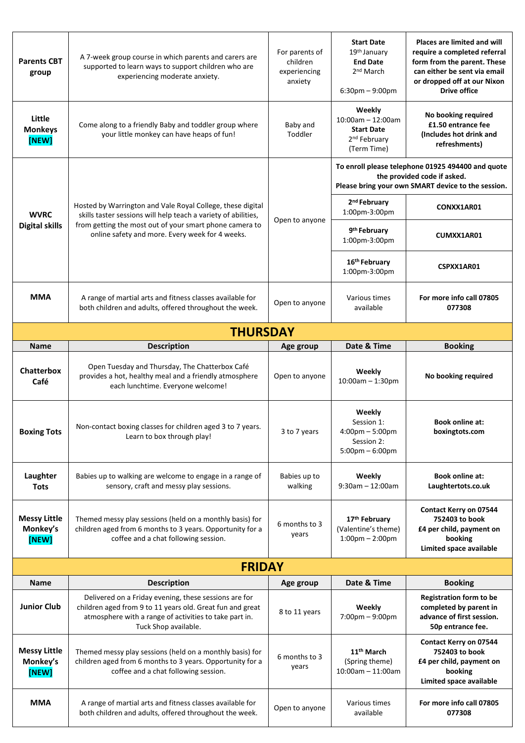| <b>Parents CBT</b><br>group              | A 7-week group course in which parents and carers are<br>supported to learn ways to support children who are<br>experiencing moderate anxiety.                                                                                             | For parents of<br>children<br>experiencing<br>anxiety | <b>Start Date</b><br>19 <sup>th</sup> January<br><b>End Date</b><br>2 <sup>nd</sup> March<br>$6:30$ pm $-9:00$ pm                      | <b>Places are limited and will</b><br>require a completed referral<br>form from the parent. These<br>can either be sent via email<br>or dropped off at our Nixon<br><b>Drive office</b> |  |
|------------------------------------------|--------------------------------------------------------------------------------------------------------------------------------------------------------------------------------------------------------------------------------------------|-------------------------------------------------------|----------------------------------------------------------------------------------------------------------------------------------------|-----------------------------------------------------------------------------------------------------------------------------------------------------------------------------------------|--|
| Little<br><b>Monkeys</b><br>[NEW]        | Come along to a friendly Baby and toddler group where<br>your little monkey can have heaps of fun!                                                                                                                                         | Baby and<br>Toddler                                   | Weekly<br>$10:00$ am - 12:00am<br><b>Start Date</b><br>2 <sup>nd</sup> February<br>(Term Time)                                         | No booking required<br>£1.50 entrance fee<br>(Includes hot drink and<br>refreshments)                                                                                                   |  |
| <b>WVRC</b><br><b>Digital skills</b>     | Hosted by Warrington and Vale Royal College, these digital<br>skills taster sessions will help teach a variety of abilities,<br>from getting the most out of your smart phone camera to<br>online safety and more. Every week for 4 weeks. | Open to anyone                                        | To enroll please telephone 01925 494400 and quote<br>the provided code if asked.<br>Please bring your own SMART device to the session. |                                                                                                                                                                                         |  |
|                                          |                                                                                                                                                                                                                                            |                                                       | 2 <sup>nd</sup> February<br>1:00pm-3:00pm                                                                                              | CONXX1AR01                                                                                                                                                                              |  |
|                                          |                                                                                                                                                                                                                                            |                                                       | 9 <sup>th</sup> February<br>1:00pm-3:00pm                                                                                              | CUMXX1AR01                                                                                                                                                                              |  |
|                                          |                                                                                                                                                                                                                                            |                                                       | 16th February<br>1:00pm-3:00pm                                                                                                         | CSPXX1AR01                                                                                                                                                                              |  |
| <b>MMA</b>                               | A range of martial arts and fitness classes available for<br>both children and adults, offered throughout the week.                                                                                                                        | Open to anyone                                        | Various times<br>available                                                                                                             | For more info call 07805<br>077308                                                                                                                                                      |  |
| <b>THURSDAY</b>                          |                                                                                                                                                                                                                                            |                                                       |                                                                                                                                        |                                                                                                                                                                                         |  |
| <b>Name</b>                              | <b>Description</b>                                                                                                                                                                                                                         | Age group                                             | Date & Time                                                                                                                            | <b>Booking</b>                                                                                                                                                                          |  |
| <b>Chatterbox</b><br>Café                | Open Tuesday and Thursday, The Chatterbox Café<br>provides a hot, healthy meal and a friendly atmosphere<br>each lunchtime. Everyone welcome!                                                                                              | Open to anyone                                        | Weekly<br>10:00am - 1:30pm                                                                                                             | No booking required                                                                                                                                                                     |  |
| <b>Boxing Tots</b>                       | Non-contact boxing classes for children aged 3 to 7 years.<br>Learn to box through play!                                                                                                                                                   | 3 to 7 years                                          | Weekly<br>Session 1:<br>4:00pm - 5:00pm<br>Session 2:<br>$5:00 \text{pm} - 6:00 \text{pm}$                                             | <b>Book online at:</b><br>boxingtots.com                                                                                                                                                |  |
| Laughter<br><b>Tots</b>                  | Babies up to walking are welcome to engage in a range of<br>sensory, craft and messy play sessions.                                                                                                                                        | Babies up to<br>walking                               | Weekly<br>$9:30$ am - 12:00am                                                                                                          | <b>Book online at:</b><br>Laughtertots.co.uk                                                                                                                                            |  |
| <b>Messy Little</b><br>Monkey's<br>[NEW] | Themed messy play sessions (held on a monthly basis) for<br>children aged from 6 months to 3 years. Opportunity for a<br>coffee and a chat following session.                                                                              | 6 months to 3<br>years                                | 17 <sup>th</sup> February<br>(Valentine's theme)<br>$1:00$ pm $- 2:00$ pm                                                              | <b>Contact Kerry on 07544</b><br>752403 to book<br>£4 per child, payment on<br>booking<br>Limited space available                                                                       |  |
|                                          | <b>FRIDAY</b>                                                                                                                                                                                                                              |                                                       |                                                                                                                                        |                                                                                                                                                                                         |  |
| <b>Name</b>                              | <b>Description</b>                                                                                                                                                                                                                         | Age group                                             | Date & Time                                                                                                                            | <b>Booking</b>                                                                                                                                                                          |  |
| <b>Junior Club</b>                       | Delivered on a Friday evening, these sessions are for<br>children aged from 9 to 11 years old. Great fun and great<br>atmosphere with a range of activities to take part in.<br>Tuck Shop available.                                       | 8 to 11 years                                         | Weekly<br>7:00pm - 9:00pm                                                                                                              | <b>Registration form to be</b><br>completed by parent in<br>advance of first session.<br>50p entrance fee.                                                                              |  |
| <b>Messy Little</b><br>Monkey's<br>[NEW] | Themed messy play sessions (held on a monthly basis) for<br>children aged from 6 months to 3 years. Opportunity for a<br>coffee and a chat following session.                                                                              | 6 months to 3<br>years                                | 11 <sup>th</sup> March<br>(Spring theme)<br>$10:00$ am - 11:00am                                                                       | Contact Kerry on 07544<br>752403 to book<br>£4 per child, payment on<br>booking<br>Limited space available                                                                              |  |
| <b>MMA</b>                               | A range of martial arts and fitness classes available for<br>both children and adults, offered throughout the week.                                                                                                                        | Open to anyone                                        | Various times<br>available                                                                                                             | For more info call 07805<br>077308                                                                                                                                                      |  |